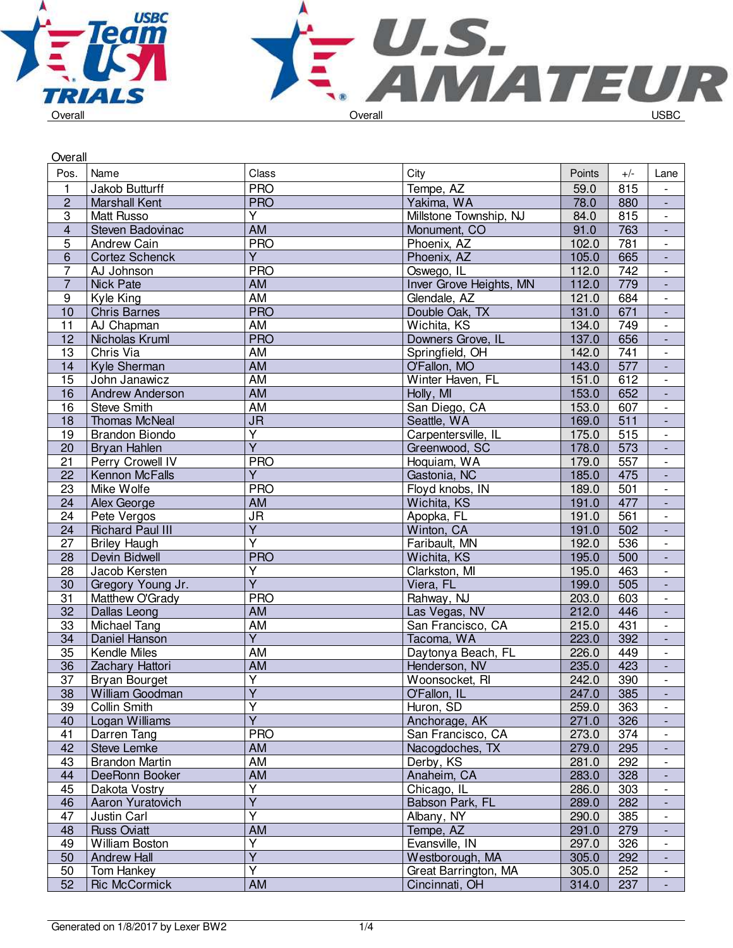



| Overall                 |                         |                         |                         |        |       |                          |
|-------------------------|-------------------------|-------------------------|-------------------------|--------|-------|--------------------------|
| Pos.                    | Name                    | Class                   | City                    | Points | $+/-$ | Lane                     |
| $\mathbf{1}$            | Jakob Butturff          | <b>PRO</b>              | Tempe, AZ               | 59.0   | 815   | $\overline{\phantom{a}}$ |
| $\overline{2}$          | <b>Marshall Kent</b>    | <b>PRO</b>              | Yakima, WA              | 78.0   | 880   | $\blacksquare$           |
| 3                       | <b>Matt Russo</b>       | Υ                       | Millstone Township, NJ  | 84.0   | 815   | $\overline{\phantom{a}}$ |
| $\overline{\mathbf{4}}$ | Steven Badovinac        | AM                      | Monument, CO            | 91.0   | 763   | $\overline{\phantom{a}}$ |
| 5                       | Andrew Cain             | <b>PRO</b>              | Phoenix, AZ             | 102.0  | 781   | $\overline{\phantom{a}}$ |
| $\overline{6}$          | <b>Cortez Schenck</b>   | $\overline{Y}$          | Phoenix, AZ             | 105.0  | 665   | $\blacksquare$           |
| $\overline{7}$          | AJ Johnson              | <b>PRO</b>              | Oswego, IL              | 112.0  | 742   | $\overline{\phantom{a}}$ |
| $\overline{7}$          | <b>Nick Pate</b>        | AM                      | Inver Grove Heights, MN | 112.0  | 779   | $\overline{\phantom{a}}$ |
| $\boldsymbol{9}$        | Kyle King               | AM                      | Glendale, AZ            | 121.0  | 684   | $\overline{\phantom{a}}$ |
| 10                      | <b>Chris Barnes</b>     | <b>PRO</b>              | Double Oak, TX          | 131.0  | 671   | ÷,                       |
| 11                      | AJ Chapman              | <b>AM</b>               | Wichita, KS             | 134.0  | 749   | $\blacksquare$           |
| 12                      | Nicholas Kruml          | <b>PRO</b>              | Downers Grove, IL       | 137.0  | 656   | $\blacksquare$           |
| 13                      | Chris Via               | AM                      | Springfield, OH         | 142.0  | 741   | $\overline{\phantom{a}}$ |
| 14                      | Kyle Sherman            | AM                      | O'Fallon, MO            | 143.0  | 577   |                          |
| 15                      | John Janawicz           | $\overline{AM}$         | Winter Haven, FL        | 151.0  | 612   | $\overline{\phantom{a}}$ |
| 16                      | <b>Andrew Anderson</b>  | <b>AM</b>               | Holly, MI               | 153.0  | 652   | $\blacksquare$           |
| 16                      | <b>Steve Smith</b>      | <b>AM</b>               | San Diego, CA           | 153.0  | 607   | $\overline{\phantom{a}}$ |
| 18                      | <b>Thomas McNeal</b>    | <b>JR</b>               | Seattle, WA             | 169.0  | 511   | $\overline{\phantom{a}}$ |
| 19                      | <b>Brandon Biondo</b>   | $\overline{\mathsf{Y}}$ | Carpentersville, IL     | 175.0  | 515   | $\blacksquare$           |
| 20                      | <b>Bryan Hahlen</b>     | $\overline{\mathsf{Y}}$ | Greenwood, SC           | 178.0  | 573   | $\blacksquare$           |
| 21                      | Perry Crowell IV        | <b>PRO</b>              | Hoquiam, WA             | 179.0  | 557   | $\overline{\phantom{a}}$ |
| 22                      | <b>Kennon McFalls</b>   | $\overline{Y}$          | Gastonia, NC            | 185.0  | 475   | $\overline{\phantom{a}}$ |
| 23                      | Mike Wolfe              | <b>PRO</b>              | Floyd knobs, IN         | 189.0  | 501   | $\overline{\phantom{a}}$ |
| 24                      | Alex George             | AM                      | Wichita, KS             | 191.0  | 477   | $\overline{\phantom{a}}$ |
| 24                      | Pete Vergos             | JR                      | Apopka, FL              | 191.0  | 561   | $\blacksquare$           |
| 24                      | <b>Richard Paul III</b> | $\overline{Y}$          | Winton, CA              | 191.0  | 502   | $\overline{\phantom{a}}$ |
| $\overline{27}$         | <b>Briley Haugh</b>     | Ÿ                       | Faribault, MN           | 192.0  | 536   | $\overline{\phantom{a}}$ |
| 28                      | Devin Bidwell           | <b>PRO</b>              | Wichita, KS             | 195.0  | 500   | $\overline{\phantom{a}}$ |
| 28                      | Jacob Kersten           | $\overline{\mathsf{Y}}$ | Clarkston, MI           | 195.0  | 463   | $\blacksquare$           |
| 30                      | Gregory Young Jr.       | Ÿ                       | Viera, FL               | 199.0  | 505   | $\overline{\phantom{a}}$ |
| 31                      | Matthew O'Grady         | <b>PRO</b>              | Rahway, NJ              | 203.0  | 603   | $\overline{\phantom{a}}$ |
| 32                      | Dallas Leong            | AM                      | Las Vegas, NV           | 212.0  | 446   | $\overline{\phantom{a}}$ |
| 33                      | Michael Tang            | AM                      | San Francisco, CA       | 215.0  | 431   | $\overline{\phantom{a}}$ |
| 34                      | Daniel Hanson           | $\overline{\mathsf{Y}}$ | Tacoma, WA              | 223.0  | 392   |                          |
| 35                      | <b>Kendle Miles</b>     | AM                      | Daytonya Beach, FL      | 226.0  | 449   | $\overline{\phantom{a}}$ |
| $\overline{36}$         | Zachary Hattori         | <b>AM</b>               | Henderson, NV           | 235.0  | 423   | $\overline{\phantom{a}}$ |
| $\overline{37}$         | Bryan Bourget           | $\overline{\mathsf{Y}}$ | Woonsocket, RI          | 242.0  | 390   |                          |
| 38                      | William Goodman         | Υ                       | O'Fallon, IL            | 247.0  | 385   |                          |
| 39                      | Collin Smith            | $\overline{\mathsf{Y}}$ | Huron, SD               | 259.0  | 363   | $\overline{\phantom{a}}$ |
| 40                      | Logan Williams          | $\overline{\mathsf{Y}}$ | Anchorage, AK           | 271.0  | 326   | $\overline{\phantom{a}}$ |
| 41                      | Darren Tang             | <b>PRO</b>              | San Francisco, CA       | 273.0  | 374   | $\overline{\phantom{a}}$ |
| 42                      | <b>Steve Lemke</b>      | AM                      | Nacogdoches, TX         | 279.0  | 295   | $\overline{\phantom{a}}$ |
| 43                      | <b>Brandon Martin</b>   | AM                      | Derby, KS               | 281.0  | 292   | $\overline{\phantom{a}}$ |
| 44                      | DeeRonn Booker          | AM                      | Anaheim, CA             | 283.0  | 328   | $\blacksquare$           |
| 45                      | Dakota Vostry           | Y                       | Chicago, IL             | 286.0  | 303   | $\overline{\phantom{a}}$ |
| 46                      | Aaron Yuratovich        | $\overline{\mathsf{Y}}$ | Babson Park, FL         | 289.0  | 282   |                          |
| 47                      | Justin Carl             | $\overline{\mathsf{Y}}$ | Albany, NY              | 290.0  | 385   |                          |
| 48                      | <b>Russ Oviatt</b>      | AM                      | Tempe, AZ               | 291.0  | 279   |                          |
| 49                      | William Boston          | $\overline{\mathsf{Y}}$ | Evansville, IN          | 297.0  | 326   | $\overline{\phantom{a}}$ |
| 50                      | <b>Andrew Hall</b>      | $\overline{Y}$          | Westborough, MA         | 305.0  | 292   | $\overline{\phantom{a}}$ |
| 50                      | Tom Hankey              | Ÿ                       | Great Barrington, MA    | 305.0  | 252   | $\overline{\phantom{a}}$ |
| 52                      | <b>Ric McCormick</b>    | AM                      | Cincinnati, OH          | 314.0  | 237   | $\overline{\phantom{a}}$ |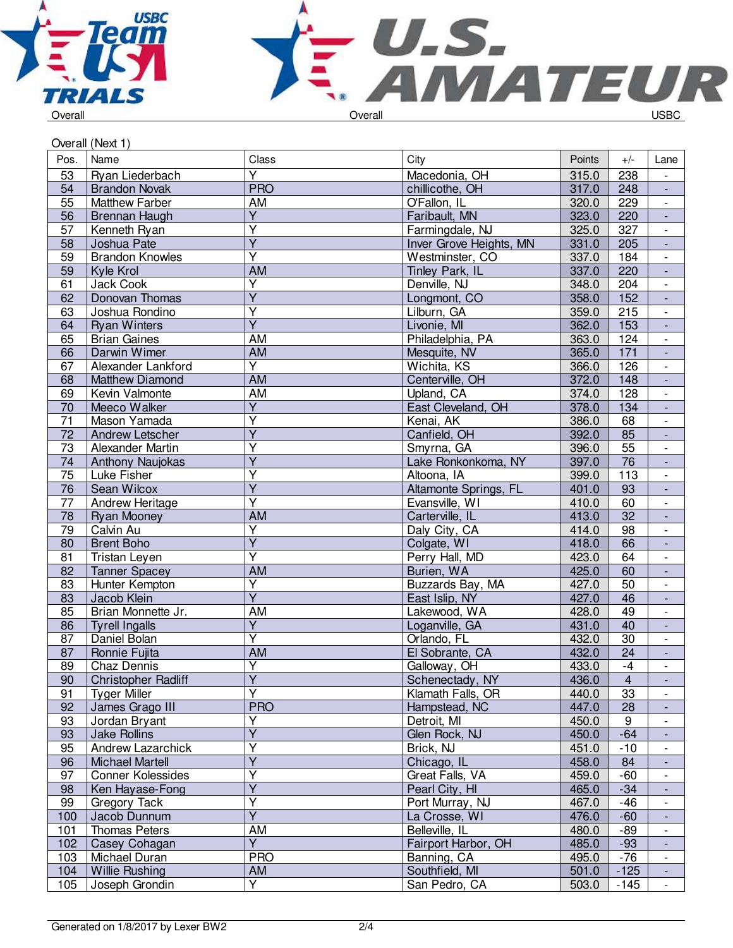



|  |  | Oveiali |  |
|--|--|---------|--|
|  |  |         |  |
|  |  |         |  |

|                 | Overall (Next 1)           |                         |                         |        |                  |                                                      |
|-----------------|----------------------------|-------------------------|-------------------------|--------|------------------|------------------------------------------------------|
| Pos.            | Name                       | Class                   | City                    | Points | $+/-$            | Lane                                                 |
| 53              | Ryan Liederbach            | $\overline{Y}$          | Macedonia, OH           | 315.0  | 238              |                                                      |
| 54              | <b>Brandon Novak</b>       | <b>PRO</b>              | chillicothe, OH         | 317.0  | 248              | $\Box$                                               |
| 55              | <b>Matthew Farber</b>      | AM                      | O'Fallon, IL            | 320.0  | 229              | $\overline{\phantom{a}}$                             |
| 56              | <b>Brennan Haugh</b>       | Υ                       | Faribault, MN           | 323.0  | 220              | $\blacksquare$                                       |
| 57              | Kenneth Ryan               | Y                       | Farmingdale, NJ         | 325.0  | 327              | $\overline{\phantom{a}}$                             |
| 58              | Joshua Pate                | $\overline{Y}$          | Inver Grove Heights, MN | 331.0  | 205              | $\blacksquare$                                       |
| 59              | <b>Brandon Knowles</b>     | Ÿ                       | Westminster, CO         | 337.0  | 184              | $\overline{\phantom{a}}$                             |
| 59              | Kyle Krol                  | <b>AM</b>               | Tinley Park, IL         | 337.0  | 220              | $\overline{\phantom{a}}$                             |
| 61              | Jack Cook                  | Ÿ                       | Denville, NJ            | 348.0  | 204              | $\overline{\phantom{a}}$                             |
| 62              | Donovan Thomas             | $\overline{\mathsf{Y}}$ | Longmont, CO            | 358.0  | 152              | $\overline{\phantom{a}}$                             |
| 63              | Joshua Rondino             | $\overline{\mathsf{Y}}$ | Lilburn, GA             | 359.0  | 215              | $\overline{\phantom{a}}$                             |
| 64              | <b>Ryan Winters</b>        | $\overline{\mathsf{Y}}$ | Livonie, MI             | 362.0  | 153              | $\Box$                                               |
| 65              | <b>Brian Gaines</b>        | AM                      | Philadelphia, PA        | 363.0  | 124              | $\overline{\phantom{a}}$                             |
| 66              | Darwin Wimer               | <b>AM</b>               | Mesquite, NV            | 365.0  | 171              | $\blacksquare$                                       |
| 67              | Alexander Lankford         | Y                       | Wichita, KS             | 366.0  | 126              | $\overline{\phantom{a}}$                             |
| 68              | <b>Matthew Diamond</b>     | <b>AM</b>               | Centerville, OH         | 372.0  | 148              | $\overline{\phantom{a}}$                             |
| 69              | Kevin Valmonte             | <b>AM</b>               | Upland, CA              | 374.0  | 128              | $\overline{\phantom{a}}$                             |
| 70              | Meeco Walker               | $\overline{Y}$          | East Cleveland, OH      | 378.0  | 134              | $\overline{\phantom{a}}$                             |
| 71              | Mason Yamada               | $\overline{\mathsf{Y}}$ | Kenai, AK               | 386.0  | 68               | $\overline{\phantom{a}}$                             |
| 72              | Andrew Letscher            | $\overline{\mathsf{Y}}$ | Canfield, OH            | 392.0  | 85               | $\overline{\phantom{a}}$                             |
| 73              | Alexander Martin           | Ÿ                       | Smyrna, GA              | 396.0  | 55               | $\Box$                                               |
| 74              | <b>Anthony Naujokas</b>    | $\overline{Y}$          | Lake Ronkonkoma, NY     | 397.0  | 76               | $\Box$                                               |
| $\overline{75}$ | Luke Fisher                | Ý                       | Altoona, IA             | 399.0  | 113              | $\overline{\phantom{a}}$                             |
| 76              | Sean Wilcox                | $\overline{Y}$          | Altamonte Springs, FL   | 401.0  | 93               | $\blacksquare$                                       |
| 77              | <b>Andrew Heritage</b>     | Υ                       | Evansville, WI          | 410.0  | 60               | $\overline{\phantom{a}}$                             |
| 78              | <b>Ryan Mooney</b>         | <b>AM</b>               | Carterville, IL         | 413.0  | $\overline{32}$  | $\overline{\phantom{a}}$                             |
| $\overline{79}$ | Calvin Au                  | $\overline{\mathsf{Y}}$ | Daly City, CA           | 414.0  | $\overline{98}$  | $\overline{\phantom{a}}$                             |
| $\overline{80}$ | <b>Brent Boho</b>          | $\overline{\mathsf{Y}}$ | Colgate, WI             | 418.0  | 66               | $\overline{\phantom{a}}$                             |
| 81              | Tristan Leyen              | $\overline{\mathsf{Y}}$ | Perry Hall, MD          | 423.0  | 64               | $\overline{\phantom{a}}$                             |
| 82              | <b>Tanner Spacey</b>       | AM                      | Burien, WA              | 425.0  | 60               | $\overline{\phantom{a}}$                             |
| 83              | Hunter Kempton             | $\overline{Y}$          | Buzzards Bay, MA        | 427.0  | 50               | $\overline{\phantom{a}}$                             |
| 83              | Jacob Klein                | $\overline{Y}$          | East Islip, NY          | 427.0  | 46               | ÷,                                                   |
| 85              | Brian Monnette Jr.         | AM                      | Lakewood, WA            | 428.0  | 49               | $\overline{\phantom{a}}$                             |
| 86              | <b>Tyrell Ingalls</b>      | Y                       | Loganville, GA          | 431.0  | 40               | $\overline{\phantom{a}}$                             |
| 87              | Daniel Bolan               | Ÿ                       | Orlando, FL             | 432.0  | 30               | $\overline{\phantom{a}}$                             |
| 87              | Ronnie Fujita              | <b>AM</b>               | El Sobrante, CA         | 432.0  | 24               | $\overline{\phantom{a}}$                             |
| $\overline{89}$ | Chaz Dennis                | $\overline{\mathsf{Y}}$ | Galloway, OH            | 433.0  | $-4$             | $\overline{\phantom{a}}$                             |
| 90              | <b>Christopher Radliff</b> | $\overline{Y}$          | Schenectady, NY         | 436.0  | $\overline{4}$   | $\overline{\phantom{a}}$                             |
| 91              | <b>Tyger Miller</b>        | Ÿ                       | Klamath Falls, OR       | 440.0  | 33               |                                                      |
| 92              | James Grago III            | <b>PRO</b>              | Hampstead, NC           | 447.0  | 28               |                                                      |
| 93              | Jordan Bryant              | Y                       | Detroit, MI             | 450.0  | $\boldsymbol{9}$ | $\blacksquare$                                       |
| 93              | <b>Jake Rollins</b>        | $\overline{Y}$          | Glen Rock, NJ           | 450.0  | $-64$            |                                                      |
| 95              | Andrew Lazarchick          | Y                       | Brick, NJ               | 451.0  | $-10$            | $\overline{\phantom{a}}$                             |
| 96              | <b>Michael Martell</b>     | Y                       | Chicago, IL             | 458.0  | 84               | $\overline{\phantom{a}}$                             |
| 97              | <b>Conner Kolessides</b>   | Y                       | Great Falls, VA         | 459.0  | $-60$            | $\overline{\phantom{a}}$                             |
| 98              | Ken Hayase-Fong            | $\overline{\mathsf{Y}}$ | Pearl City, HI          | 465.0  | $-34$            | $\overline{\phantom{a}}$                             |
| 99              | Gregory Tack               | Ÿ                       | Port Murray, NJ         | 467.0  | $-46$            |                                                      |
| 100             | Jacob Dunnum               | $\overline{\mathsf{Y}}$ | La Crosse, WI           | 476.0  | $-60$            | $\overline{\phantom{a}}$                             |
|                 |                            | AM                      |                         |        |                  | $\overline{\phantom{a}}$                             |
| 101             | Thomas Peters              | $\overline{Y}$          | Belleville, IL          | 480.0  | $-89$            | $\overline{\phantom{a}}$                             |
| 102             | Casey Cohagan              | <b>PRO</b>              | Fairport Harbor, OH     | 485.0  | $-93$            | $\overline{\phantom{a}}$<br>$\overline{\phantom{a}}$ |
| 103             | Michael Duran              |                         | Banning, CA             | 495.0  | $-76$            |                                                      |
| 104             | <b>Willie Rushing</b>      | AM<br>Y.                | Southfield, MI          | 501.0  | $-125$           | $\overline{\phantom{a}}$                             |
| 105             | Joseph Grondin             |                         | San Pedro, CA           | 503.0  | $-145$           | $\overline{\phantom{a}}$                             |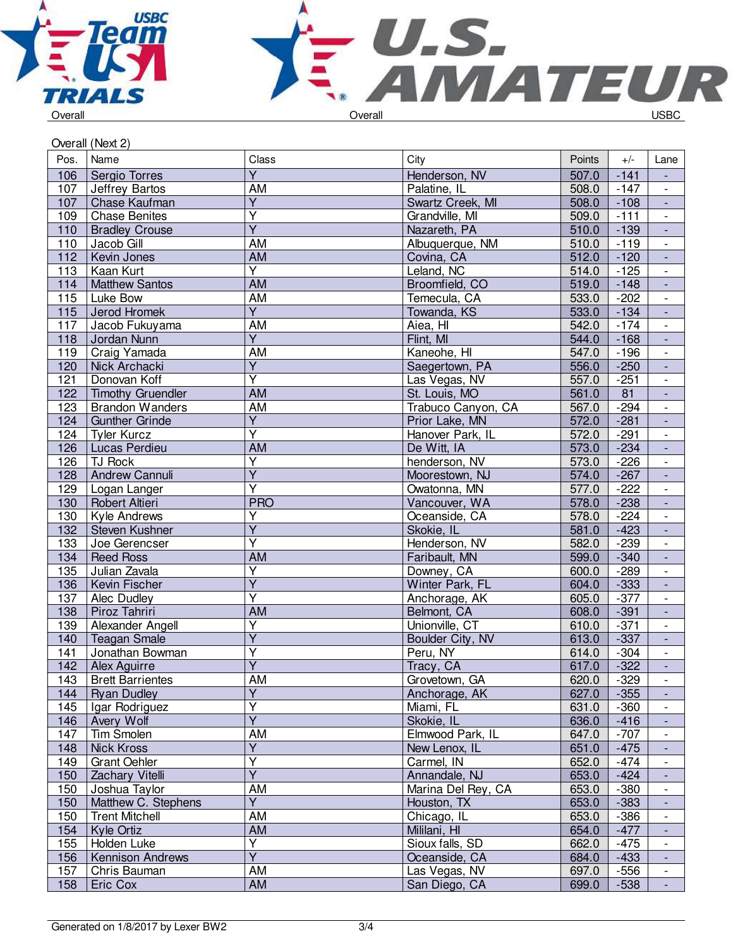



|      | Overall (Next 2)         |                         |                         |        |                 |                             |  |
|------|--------------------------|-------------------------|-------------------------|--------|-----------------|-----------------------------|--|
| Pos. | Name                     | Class                   | City                    | Points | $+/-$           | Lane                        |  |
| 106  | Sergio Torres            | $\overline{Y}$          | Henderson, NV           | 507.0  | $-141$          |                             |  |
| 107  | Jeffrey Bartos           | AM                      | Palatine, IL            | 508.0  | $-147$          |                             |  |
| 107  | Chase Kaufman            | $\overline{Y}$          | Swartz Creek, MI        | 508.0  | $-108$          | $\blacksquare$              |  |
| 109  | <b>Chase Benites</b>     | $\overline{\mathsf{Y}}$ | Grandville, MI          | 509.0  | $-111$          | $\overline{\phantom{a}}$    |  |
| 110  | <b>Bradley Crouse</b>    | $\overline{\mathsf{Y}}$ | Nazareth, PA            | 510.0  | $-139$          | $\blacksquare$              |  |
| 110  | Jacob Gill               | AM                      | Albuquerque, NM         | 510.0  | $-119$          | $\blacksquare$              |  |
| 112  | Kevin Jones              | <b>AM</b>               | Covina, CA              | 512.0  | $-120$          | $\Box$                      |  |
| 113  | Kaan Kurt                | $\overline{\mathsf{Y}}$ | Leland, NC              | 514.0  | $-125$          | $\Box$                      |  |
| 114  | <b>Matthew Santos</b>    | AM                      | Broomfield, CO          | 519.0  | $-148$          | ÷,                          |  |
| 115  | Luke Bow                 | AM                      | Temecula, CA            | 533.0  | $-202$          | $\overline{\phantom{a}}$    |  |
| 115  | Jerod Hromek             | $\overline{Y}$          | Towanda, KS             | 533.0  | $-134$          | $\blacksquare$              |  |
| 117  | Jacob Fukuyama           | AM                      | Aiea, HI                | 542.0  | $-174$          |                             |  |
| 118  | Jordan Nunn              | $\overline{Y}$          | Flint, MI               | 544.0  | $-168$          | $\blacksquare$              |  |
| 119  | Craig Yamada             | AM                      | Kaneohe, HI             | 547.0  | $-196$          | $\blacksquare$              |  |
| 120  | Nick Archacki            | $\overline{\mathsf{Y}}$ | Saegertown, PA          | 556.0  | $-250$          | $\blacksquare$              |  |
| 121  | Donovan Koff             | $\overline{\mathsf{Y}}$ | Las Vegas, NV           | 557.0  | $-251$          | $\overline{\phantom{a}}$    |  |
| 122  | <b>Timothy Gruendler</b> | <b>AM</b>               | St. Louis, MO           | 561.0  | $\overline{81}$ | $\Box$                      |  |
| 123  | <b>Brandon Wanders</b>   | AM                      | Trabuco Canyon, CA      | 567.0  | $-294$          | $\overline{\phantom{a}}$    |  |
| 124  | <b>Gunther Grinde</b>    | $\overline{Y}$          | Prior Lake, MN          | 572.0  | $-281$          | $\Box$                      |  |
| 124  | <b>Tyler Kurcz</b>       | $\overline{\mathsf{Y}}$ | Hanover Park, IL        | 572.0  | $-291$          | $\overline{\phantom{a}}$    |  |
| 126  | Lucas Perdieu            | <b>AM</b>               | De Witt, IA             | 573.0  | $-234$          | $\blacksquare$              |  |
| 126  | TJ Rock                  | $\overline{\mathsf{Y}}$ | henderson, NV           | 573.0  | $-226$          |                             |  |
| 128  | <b>Andrew Cannuli</b>    | $\overline{Y}$          | Moorestown, NJ          | 574.0  | $-267$          | $\overline{\phantom{a}}$    |  |
|      |                          | $\overline{\mathsf{Y}}$ | Owatonna, MN            |        |                 | $\blacksquare$              |  |
| 129  | Logan Langer             | <b>PRO</b>              |                         | 577.0  | $-222$          | $\overline{\phantom{a}}$    |  |
| 130  | Robert Altieri           |                         | Vancouver, WA           | 578.0  | $-238$          | $\blacksquare$              |  |
| 130  | Kyle Andrews             | Ÿ<br>$\overline{Y}$     | Oceanside, CA           | 578.0  | $-224$          | $\blacksquare$              |  |
| 132  | Steven Kushner           | $\overline{\mathsf{Y}}$ | Skokie, IL              | 581.0  | $-423$          | $\Box$                      |  |
| 133  | Joe Gerencser            |                         | Henderson, NV           | 582.0  | $-239$          | $\overline{\phantom{a}}$    |  |
| 134  | <b>Reed Ross</b>         | <b>AM</b>               | Faribault, MN           | 599.0  | $-340$          | ÷,                          |  |
| 135  | Julian Zavala            | Υ                       | Downey, CA              | 600.0  | $-289$          | $\overline{\phantom{a}}$    |  |
| 136  | Kevin Fischer            | Ÿ                       | Winter Park, FL         | 604.0  | $-333$          | $\blacksquare$              |  |
| 137  | Alec Dudley              | $\overline{\mathsf{Y}}$ | Anchorage, AK           | 605.0  | $-377$          |                             |  |
| 138  | Piroz Tahriri            | AM                      | Belmont, CA             | 608.0  | $-391$          | $\overline{\phantom{a}}$    |  |
| 139  | Alexander Angell         | $\overline{\mathsf{Y}}$ | Unionville, CT          | 610.0  | $-371$          | $\overline{\phantom{a}}$    |  |
| 140  | <b>Teagan Smale</b>      | $\overline{\mathsf{Y}}$ | <b>Boulder City, NV</b> | 613.0  | $-337$          | $\blacksquare$              |  |
| 141  | Jonathan Bowman          | Ϋ                       | Peru, NY                | 614.0  | $-304$          |                             |  |
| 142  | Alex Aguirre             | $\overline{\mathsf{Y}}$ | Tracy, CA               | 617.0  | $-322$          |                             |  |
| 143  | <b>Brett Barrientes</b>  | AM                      | Grovetown, GA           | 620.0  | $-329$          | $\overline{\phantom{a}}$    |  |
| 144  | <b>Ryan Dudley</b>       | $\overline{Y}$          | Anchorage, AK           | 627.0  | $-355$          | $\mathcal{L}_{\mathcal{A}}$ |  |
| 145  | Igar Rodriguez           | Υ                       | Miami, FL               | 631.0  | $-360$          | $\overline{\phantom{a}}$    |  |
| 146  | Avery Wolf               | $\overline{\mathsf{Y}}$ | Skokie, IL              | 636.0  | $-416$          | $\overline{\phantom{a}}$    |  |
| 147  | Tim Smolen               | AM                      | Elmwood Park, IL        | 647.0  | $-707$          |                             |  |
| 148  | Nick Kross               | $\overline{Y}$          | New Lenox, IL           | 651.0  | $-475$          |                             |  |
| 149  | <b>Grant Oehler</b>      | Y                       | Carmel, IN              | 652.0  | $-474$          | $\overline{\phantom{a}}$    |  |
| 150  | Zachary Vitelli          | $\overline{Y}$          | Annandale, NJ           | 653.0  | $-424$          |                             |  |
| 150  | Joshua Taylor            | AM                      | Marina Del Rey, CA      | 653.0  | $-380$          |                             |  |
| 150  | Matthew C. Stephens      | Y                       | Houston, TX             | 653.0  | $-383$          |                             |  |
| 150  | <b>Trent Mitchell</b>    | AM                      | Chicago, IL             | 653.0  | $-386$          | $\overline{\phantom{a}}$    |  |
| 154  | Kyle Ortiz               | AM                      | Mililani, HI            | 654.0  | $-477$          | $\blacksquare$              |  |
| 155  | Holden Luke              | Υ                       | Sioux falls, SD         | 662.0  | $-475$          | $\overline{\phantom{a}}$    |  |
| 156  | Kennison Andrews         | $\overline{\mathsf{Y}}$ | Oceanside, CA           | 684.0  | $-433$          | $\overline{\phantom{a}}$    |  |
| 157  | Chris Bauman             | AM                      | Las Vegas, NV           | 697.0  | $-556$          | $\overline{\phantom{a}}$    |  |
| 158  | Eric Cox                 | AM                      | San Diego, CA           | 699.0  | $-538$          | $\blacksquare$              |  |